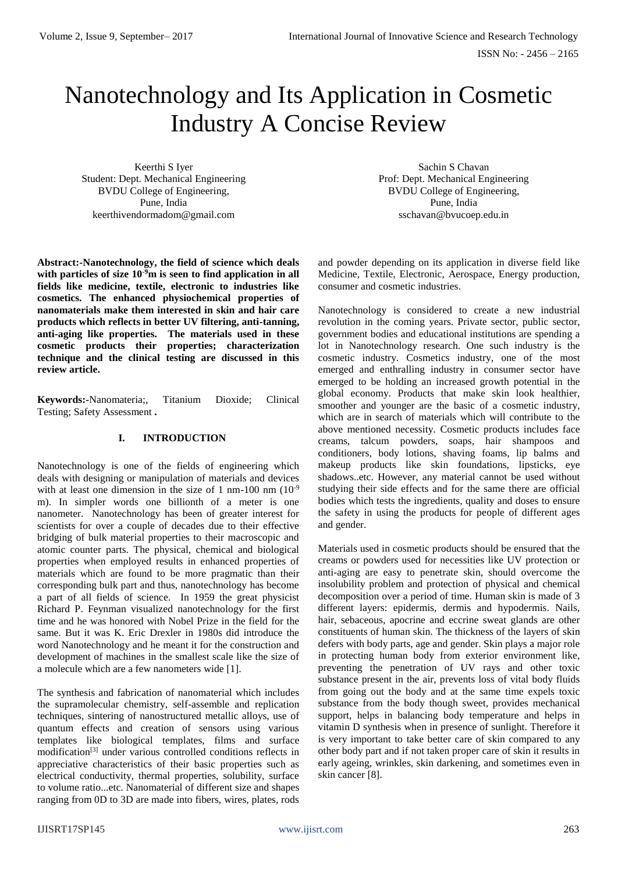# Nanotechnology and Its Application in Cosmetic Industry A Concise Review

Keerthi S Iyer Student: Dept. Mechanical Engineering BVDU College of Engineering, Pune, India keerthivendormadom@gmail.com

**Abstract:-Nanotechnology, the field of science which deals with particles of size 10-9m is seen to find application in all fields like medicine, textile, electronic to industries like cosmetics. The enhanced physiochemical properties of nanomaterials make them interested in skin and hair care products which reflects in better UV filtering, anti-tanning, anti-aging like properties. The materials used in these cosmetic products their properties; characterization technique and the clinical testing are discussed in this review article.**

**Keywords:-**Nanomateria;, Titanium Dioxide; Clinical Testing; Safety Assessment **.** 

### **I. INTRODUCTION**

Nanotechnology is one of the fields of engineering which deals with designing or manipulation of materials and devices with at least one dimension in the size of 1 nm-100 nm  $(10^{-9}$ m). In simpler words one billionth of a meter is one nanometer. Nanotechnology has been of greater interest for scientists for over a couple of decades due to their effective bridging of bulk material properties to their macroscopic and atomic counter parts. The physical, chemical and biological properties when employed results in enhanced properties of materials which are found to be more pragmatic than their corresponding bulk part and thus, nanotechnology has become a part of all fields of science. In 1959 the great physicist Richard P. Feynman visualized nanotechnology for the first time and he was honored with Nobel Prize in the field for the same. But it was K. Eric Drexler in 1980s did introduce the word Nanotechnology and he meant it for the construction and development of machines in the smallest scale like the size of a molecule which are a few nanometers wide [1].

The synthesis and fabrication of nanomaterial which includes the supramolecular chemistry, self-assemble and replication techniques, sintering of nanostructured metallic alloys, use of quantum effects and creation of sensors using various templates like biological templates, films and surface modification[3] under various controlled conditions reflects in appreciative characteristics of their basic properties such as electrical conductivity, thermal properties, solubility, surface to volume ratio...etc. Nanomaterial of different size and shapes ranging from 0D to 3D are made into fibers, wires, plates, rods

Sachin S Chavan Prof: Dept. Mechanical Engineering BVDU College of Engineering, Pune, India sschavan@bvucoep.edu.in

and powder depending on its application in diverse field like Medicine, Textile, Electronic, Aerospace, Energy production, consumer and cosmetic industries.

Nanotechnology is considered to create a new industrial revolution in the coming years. Private sector, public sector, government bodies and educational institutions are spending a lot in Nanotechnology research. One such industry is the cosmetic industry. Cosmetics industry, one of the most emerged and enthralling industry in consumer sector have emerged to be holding an increased growth potential in the global economy. Products that make skin look healthier, smoother and younger are the basic of a cosmetic industry, which are in search of materials which will contribute to the above mentioned necessity. Cosmetic products includes face creams, talcum powders, soaps, hair shampoos and conditioners, body lotions, shaving foams, lip balms and makeup products like skin foundations, lipsticks, eye shadows..etc. However, any material cannot be used without studying their side effects and for the same there are official bodies which tests the ingredients, quality and doses to ensure the safety in using the products for people of different ages and gender.

Materials used in cosmetic products should be ensured that the creams or powders used for necessities like UV protection or anti-aging are easy to penetrate skin, should overcome the insolubility problem and protection of physical and chemical decomposition over a period of time. Human skin is made of 3 different layers: epidermis, dermis and hypodermis. Nails, hair, sebaceous, apocrine and eccrine sweat glands are other constituents of human skin. The thickness of the layers of skin defers with body parts, age and gender. Skin plays a major role in protecting human body from exterior environment like, preventing the penetration of UV rays and other toxic substance present in the air, prevents loss of vital body fluids from going out the body and at the same time expels toxic substance from the body though sweet, provides mechanical support, helps in balancing body temperature and helps in vitamin D synthesis when in presence of sunlight. Therefore it is very important to take better care of skin compared to any other body part and if not taken proper care of skin it results in early ageing, wrinkles, skin darkening, and sometimes even in skin cancer [8].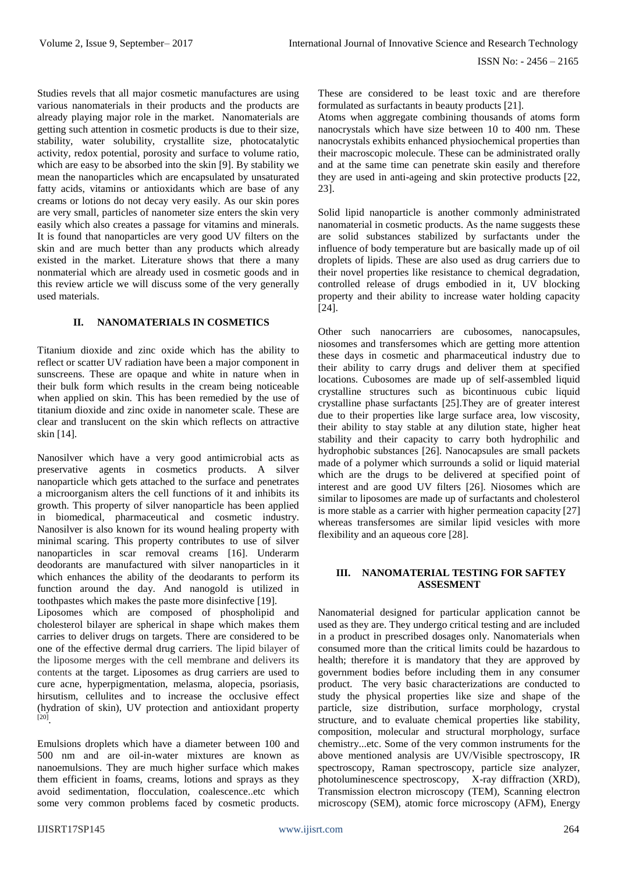Studies revels that all major cosmetic manufactures are using various nanomaterials in their products and the products are already playing major role in the market. Nanomaterials are getting such attention in cosmetic products is due to their size, stability, water solubility, crystallite size, photocatalytic activity, redox potential, porosity and surface to volume ratio, which are easy to be absorbed into the skin [9]. By stability we mean the nanoparticles which are encapsulated by unsaturated fatty acids, vitamins or antioxidants which are base of any creams or lotions do not decay very easily. As our skin pores are very small, particles of nanometer size enters the skin very easily which also creates a passage for vitamins and minerals. It is found that nanoparticles are very good UV filters on the skin and are much better than any products which already existed in the market. Literature shows that there a many nonmaterial which are already used in cosmetic goods and in this review article we will discuss some of the very generally used materials.

## **II. NANOMATERIALS IN COSMETICS**

Titanium dioxide and zinc oxide which has the ability to reflect or scatter UV radiation have been a major component in sunscreens. These are opaque and white in nature when in their bulk form which results in the cream being noticeable when applied on skin. This has been remedied by the use of titanium dioxide and zinc oxide in nanometer scale. These are clear and translucent on the skin which reflects on attractive skin [14].

Nanosilver which have a very good antimicrobial acts as preservative agents in cosmetics products. A silver nanoparticle which gets attached to the surface and penetrates a microorganism alters the cell functions of it and inhibits its growth. This property of silver nanoparticle has been applied in biomedical, pharmaceutical and cosmetic industry. Nanosilver is also known for its wound healing property with minimal scaring. This property contributes to use of silver nanoparticles in scar removal creams [16]. Underarm deodorants are manufactured with silver nanoparticles in it which enhances the ability of the deodarants to perform its function around the day. And nanogold is utilized in toothpastes which makes the paste more disinfective [19]. Liposomes which are composed of phospholipid and cholesterol bilayer are spherical in shape which makes them carries to deliver drugs on targets. There are considered to be one of the effective dermal drug carriers. The lipid bilayer of the liposome merges with the cell membrane and delivers its contents at the target. Liposomes as drug carriers are used to cure acne, hyperpigmentation, melasma, alopecia, psoriasis, hirsutism, cellulites and to increase the occlusive effect (hydration of skin), UV protection and antioxidant property [20] .

Emulsions droplets which have a diameter between 100 and 500 nm and are oil-in-water mixtures are known as nanoemulsions. They are much higher surface which makes them efficient in foams, creams, lotions and sprays as they avoid sedimentation, flocculation, coalescence..etc which some very common problems faced by cosmetic products. These are considered to be least toxic and are therefore formulated as surfactants in beauty products [21].

Atoms when aggregate combining thousands of atoms form nanocrystals which have size between 10 to 400 nm. These nanocrystals exhibits enhanced physiochemical properties than their macroscopic molecule. These can be administrated orally and at the same time can penetrate skin easily and therefore they are used in anti-ageing and skin protective products [22, 23].

Solid lipid nanoparticle is another commonly administrated nanomaterial in cosmetic products. As the name suggests these are solid substances stabilized by surfactants under the influence of body temperature but are basically made up of oil droplets of lipids. These are also used as drug carriers due to their novel properties like resistance to chemical degradation, controlled release of drugs embodied in it, UV blocking property and their ability to increase water holding capacity [24].

Other such nanocarriers are cubosomes, nanocapsules, niosomes and transfersomes which are getting more attention these days in cosmetic and pharmaceutical industry due to their ability to carry drugs and deliver them at specified locations. Cubosomes are made up of self-assembled liquid crystalline structures such as bicontinuous cubic liquid crystalline phase surfactants [25].They are of greater interest due to their properties like large surface area, low viscosity, their ability to stay stable at any dilution state, higher heat stability and their capacity to carry both hydrophilic and hydrophobic substances [26]. Nanocapsules are small packets made of a polymer which surrounds a solid or liquid material which are the drugs to be delivered at specified point of interest and are good UV filters [26]. Niosomes which are similar to liposomes are made up of surfactants and cholesterol is more stable as a carrier with higher permeation capacity [27] whereas transfersomes are similar lipid vesicles with more flexibility and an aqueous core [28].

### **III. NANOMATERIAL TESTING FOR SAFTEY ASSESMENT**

Nanomaterial designed for particular application cannot be used as they are. They undergo critical testing and are included in a product in prescribed dosages only. Nanomaterials when consumed more than the critical limits could be hazardous to health; therefore it is mandatory that they are approved by government bodies before including them in any consumer product. The very basic characterizations are conducted to study the physical properties like size and shape of the particle, size distribution, surface morphology, crystal structure, and to evaluate chemical properties like stability, composition, molecular and structural morphology, surface chemistry...etc. Some of the very common instruments for the above mentioned analysis are UV/Visible spectroscopy, IR spectroscopy, Raman spectroscopy, particle size analyzer, photoluminescence spectroscopy, X-ray diffraction (XRD), Transmission electron microscopy (TEM), Scanning electron microscopy (SEM), atomic force microscopy (AFM), Energy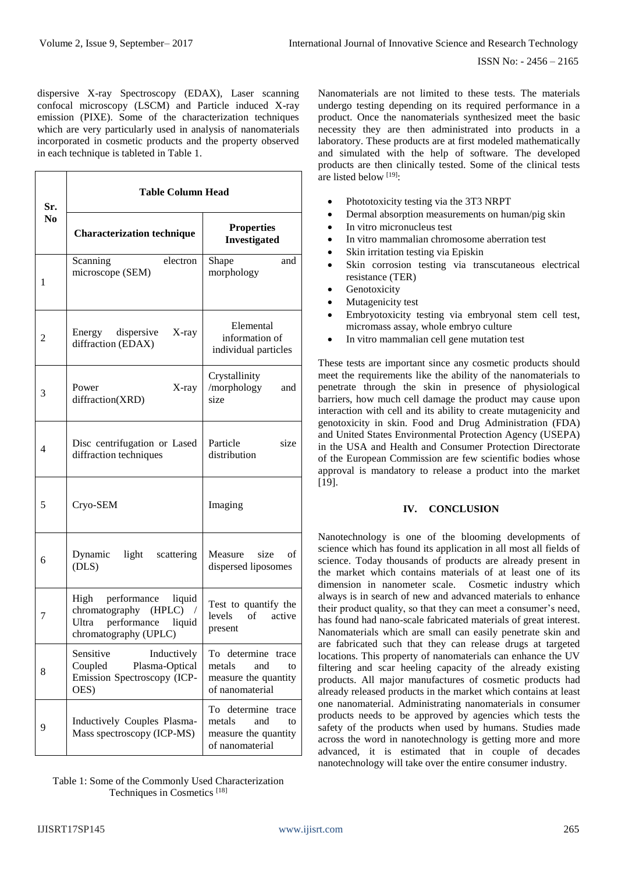dispersive X-ray Spectroscopy (EDAX), Laser scanning confocal microscopy (LSCM) and Particle induced X-ray emission (PIXE). Some of the characterization techniques which are very particularly used in analysis of nanomaterials incorporated in cosmetic products and the property observed in each technique is tableted in Table 1.

| Sr.<br>No. | Table Column Head                                                                                                            |                                                                                         |
|------------|------------------------------------------------------------------------------------------------------------------------------|-----------------------------------------------------------------------------------------|
|            | <b>Characterization technique</b>                                                                                            | <b>Properties</b><br><b>Investigated</b>                                                |
| 1          | Scanning<br>electron<br>microscope (SEM)                                                                                     | Shape<br>and<br>morphology                                                              |
| 2          | Energy dispersive<br>X-ray<br>diffraction (EDAX)                                                                             | Elemental<br>information of<br>individual particles                                     |
| 3          | Power<br>X-ray<br>diffraction(XRD)                                                                                           | Crystallinity<br>/morphology<br>and<br>size                                             |
| 4          | Disc centrifugation or Lased<br>diffraction techniques                                                                       | Particle<br>size<br>distribution                                                        |
| 5          | Cryo-SEM                                                                                                                     | Imaging                                                                                 |
| 6          | Dynamic<br>light<br>scattering<br>(DLS)                                                                                      | Measure<br>size<br>of<br>dispersed liposomes                                            |
| 7          | High<br>performance<br>liquid<br>chromatography (HPLC)<br>$\sqrt{2}$<br>Ultra performance<br>liquid<br>chromatography (UPLC) | Test to quantify the<br>of active<br>levels<br>present                                  |
| 8          | Sensitive<br>Inductively<br>Coupled<br>Plasma-Optical<br>Emission Spectroscopy (ICP-<br>OES)                                 | To determine<br>trace<br>metals<br>and<br>to<br>measure the quantity<br>of nanomaterial |
| 9          | Inductively Couples Plasma-<br>Mass spectroscopy (ICP-MS)                                                                    | To determine<br>trace<br>metals<br>and<br>to<br>measure the quantity<br>of nanomaterial |

Table 1: Some of the Commonly Used Characterization Techniques in Cosmetics [18]

Nanomaterials are not limited to these tests. The materials undergo testing depending on its required performance in a product. Once the nanomaterials synthesized meet the basic necessity they are then administrated into products in a laboratory. These products are at first modeled mathematically and simulated with the help of software. The developed products are then clinically tested. Some of the clinical tests are listed below [19]:

- Phototoxicity testing via the 3T3 NRPT
- Dermal absorption measurements on human/pig skin
- In vitro micronucleus test
- In vitro mammalian chromosome aberration test
- Skin irritation testing via Episkin
- Skin corrosion testing via transcutaneous electrical resistance (TER)
- **Genotoxicity**
- Mutagenicity test
- Embryotoxicity testing via embryonal stem cell test, micromass assay, whole embryo culture
- In vitro mammalian cell gene mutation test

These tests are important since any cosmetic products should meet the requirements like the ability of the nanomaterials to penetrate through the skin in presence of physiological barriers, how much cell damage the product may cause upon interaction with cell and its ability to create mutagenicity and genotoxicity in skin. Food and Drug Administration (FDA) and United States Environmental Protection Agency (USEPA) in the USA and Health and Consumer Protection Directorate of the European Commission are few scientific bodies whose approval is mandatory to release a product into the market [19].

### **IV. CONCLUSION**

Nanotechnology is one of the blooming developments of science which has found its application in all most all fields of science. Today thousands of products are already present in the market which contains materials of at least one of its dimension in nanometer scale. Cosmetic industry which always is in search of new and advanced materials to enhance their product quality, so that they can meet a consumer's need, has found had nano-scale fabricated materials of great interest. Nanomaterials which are small can easily penetrate skin and are fabricated such that they can release drugs at targeted locations. This property of nanomaterials can enhance the UV filtering and scar heeling capacity of the already existing products. All major manufactures of cosmetic products had already released products in the market which contains at least one nanomaterial. Administrating nanomaterials in consumer products needs to be approved by agencies which tests the safety of the products when used by humans. Studies made across the word in nanotechnology is getting more and more advanced, it is estimated that in couple of decades nanotechnology will take over the entire consumer industry.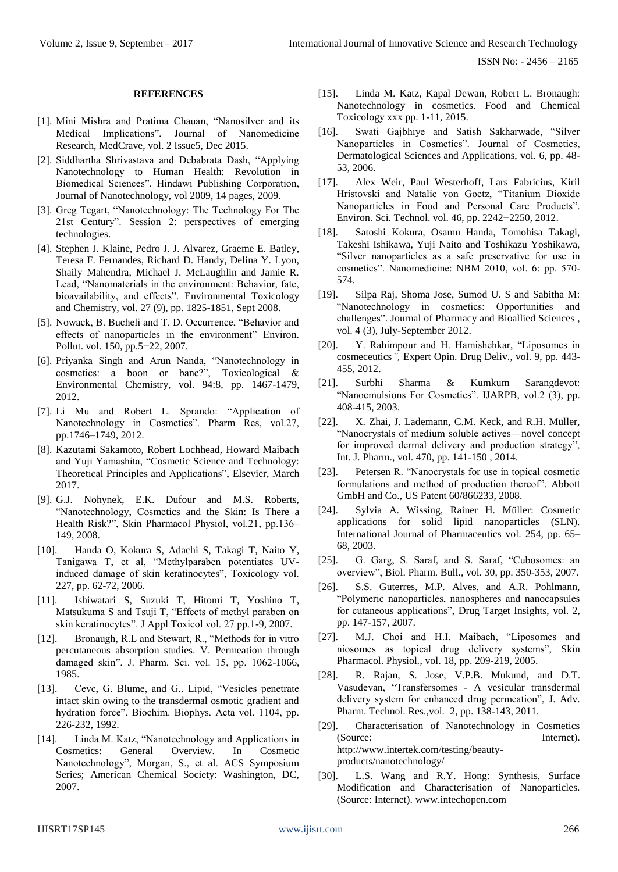ISSN No: - 2456 – 2165

#### **REFERENCES**

- [1]. Mini Mishra and Pratima Chauan, "Nanosilver and its Medical Implications". Journal of Nanomedicine Research, MedCrave, vol. 2 Issue5, Dec 2015.
- [2]. Siddhartha Shrivastava and Debabrata Dash, "Applying Nanotechnology to Human Health: Revolution in Biomedical Sciences". Hindawi Publishing Corporation, Journal of Nanotechnology, vol 2009, 14 pages, 2009.
- [3]. Greg Tegart, "Nanotechnology: The Technology For The 21st Century". Session 2: perspectives of emerging technologies.
- [4]. Stephen J. Klaine, Pedro J. J. Alvarez, Graeme E. Batley, [Teresa F. Fernandes,](https://researchportal.hw.ac.uk/en/persons/teresa-f-fernandes) Richard D. Handy, Delina Y. Lyon, Shaily Mahendra, Michael J. McLaughlin and Jamie R. Lead, "Nanomaterials in the environment: Behavior, fate, bioavailability, and effects". Environmental Toxicology and Chemistry*,* vol. 27 (9), pp. 1825-1851, Sept 2008.
- [5]. Nowack, B. Bucheli and T. D. Occurrence, "Behavior and effects of nanoparticles in the environment" Environ. Pollut. vol. 150, pp.5−22, 2007.
- [6]. Priyanka Singh and Arun Nanda, "Nanotechnology in cosmetics: a boon or bane?", Toxicological & Environmental Chemistry, vol. 94:8, pp. 1467-1479, 2012.
- [7]. Li Mu and Robert L. Sprando: "Application of Nanotechnology in Cosmetics". Pharm Res, vol.27, pp.1746–1749, 2012.
- [8]. Kazutami Sakamoto, Robert Lochhead, Howard Maibach and Yuji Yamashita, "Cosmetic Science and Technology: Theoretical Principles and Applications", Elsevier, March 2017.
- [9]. G.J. Nohynek, E.K. Dufour and M.S. Roberts, "Nanotechnology, Cosmetics and the Skin: Is There a Health Risk?", Skin Pharmacol Physiol, vol.21, pp.136– 149, 2008.
- [10]. Handa O, Kokura S, Adachi S, Takagi T, Naito Y, Tanigawa T, et al, "Methylparaben potentiates UVinduced damage of skin keratinocytes", Toxicology vol. 227, pp. 62-72, 2006.
- [11]. Ishiwatari S, Suzuki T, Hitomi T, Yoshino T, Matsukuma S and Tsuji T, "Effects of methyl paraben on skin keratinocytes". J Appl Toxicol vol. 27 pp.1-9, 2007.
- [12]. Bronaugh, R.L and Stewart, R., "Methods for in vitro percutaneous absorption studies. V. Permeation through damaged skin". J. Pharm. Sci. vol. 15, pp. 1062-1066, 1985.
- [13]. Cevc, G. Blume, and G.. Lipid, "Vesicles penetrate intact skin owing to the transdermal osmotic gradient and hydration force". Biochim. Biophys. Acta vol. 1104, pp. 226-232, 1992.
- [14]. Linda M. Katz, "Nanotechnology and Applications in Cosmetics: General Overview. In Cosmetic Nanotechnology", Morgan, S., et al. ACS Symposium Series; American Chemical Society: Washington, DC, 2007.
- [15]. Linda M. Katz, Kapal Dewan, Robert L. Bronaugh: Nanotechnology in cosmetics. Food and Chemical Toxicology xxx pp. 1-11, 2015.
- [16]. Swati Gajbhiye and Satish Sakharwade, "Silver Nanoparticles in Cosmetics". Journal of Cosmetics, Dermatological Sciences and Applications, vol. 6, pp. 48- 53, 2006.
- [17]. Alex Weir, Paul Westerhoff, Lars Fabricius, Kiril Hristovski and Natalie von Goetz, "Titanium Dioxide Nanoparticles in Food and Personal Care Products". Environ. Sci. Technol. vol. 46, pp. 2242−2250, 2012.
- [18]. Satoshi Kokura, Osamu Handa, Tomohisa Takagi, Takeshi Ishikawa, Yuji Naito and Toshikazu Yoshikawa, "Silver nanoparticles as a safe preservative for use in cosmetics". Nanomedicine: NBM 2010, vol. 6: pp. 570- 574.
- [19]. Silpa Raj, Shoma Jose, Sumod U. S and Sabitha M: "Nanotechnology in cosmetics: Opportunities and challenges". Journal of Pharmacy and Bioallied Sciences , vol. 4 (3), July-September 2012.
- [20]. Y. Rahimpour and H. Hamishehkar, "Liposomes in cosmeceutics*",* Expert Opin. Drug Deliv., vol. 9, pp. 443- 455, 2012.
- [21]. Surbhi Sharma & Kumkum Sarangdevot: "Nanoemulsions For Cosmetics". IJARPB, vol.2 (3), pp. 408-415, 2003.
- [22]. X. Zhai, J. Lademann, C.M. Keck, and R.H. Müller, "Nanocrystals of medium soluble actives—novel concept for improved dermal delivery and production strategy", Int. J. Pharm.*,* vol. 470, pp. 141-150 , 2014.
- [23]. Petersen R. "Nanocrystals for use in topical cosmetic formulations and method of production thereof". Abbott GmbH and Co., US Patent 60/866233, 2008.
- [24]. Sylvia A. Wissing, Rainer H. Müller: Cosmetic applications for solid lipid nanoparticles (SLN). International Journal of Pharmaceutics vol. 254, pp. 65– 68, 2003.
- [25]. G. Garg, S. Saraf, and S. Saraf, "Cubosomes: an overview", Biol. Pharm. Bull.*,* vol. 30, pp. 350-353, 2007.
- [26]. S.S. Guterres, M.P. Alves, and A.R. Pohlmann, "Polymeric nanoparticles, nanospheres and nanocapsules for cutaneous applications", Drug Target Insights, vol. 2, pp. 147-157, 2007.
- [27]. M.J. Choi and H.I. Maibach, "Liposomes and niosomes as topical drug delivery systems", Skin Pharmacol. Physiol*.*, vol. 18, pp. 209-219, 2005.
- [28]. R. Rajan, S. Jose, V.P.B. Mukund, and D.T. Vasudevan, "Transfersomes - A vesicular transdermal delivery system for enhanced drug permeation", J. Adv. Pharm. Technol. Res.,vol. 2, pp. 138-143, 2011.
- [29]. Characterisation of Nanotechnology in Cosmetics (Source: Internet). [http://www.intertek.com/testing/beauty](http://www.intertek.com/testing/beauty-products/nanotechnology/)[products/nanotechnology/](http://www.intertek.com/testing/beauty-products/nanotechnology/)
- [30]. L.S. Wang and R.Y. Hong: Synthesis, Surface Modification and Characterisation of Nanoparticles. (Source: Internet). www.intechopen.com